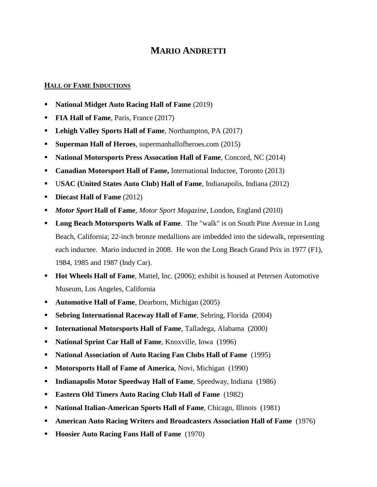## **MARIO ANDRETTI**

## **HALL OF FAME INDUCTIONS**

- **National Midget Auto Racing Hall of Fame** (2019)
- **FIA Hall of Fame**, Paris, France (2017)
- **Lehigh Valley Sports Hall of Fame**, Northampton, PA (2017)
- **Superman Hall of Heroes**, supermanhallofheroes.com (2015)
- **National Motorsports Press Assocation Hall of Fame**, Concord, NC (2014)
- **Canadian Motorsport Hall of Fame,** International Inductee, Toronto (2013)
- U**SAC (United States Auto Club) Hall of Fame**, Indianapolis, Indiana (2012)
- **Diecast Hall of Fame** (2012)
- *Motor Sport* **Hall of Fame**, *Motor Sport Magazine*, London, England (2010)
- **Long Beach Motorsports Walk of Fame.** The "walk" is on South Pine Avenue in Long Beach, California; 22-inch bronze medallions are imbedded into the sidewalk, representing each inductee. Mario inducted in 2008. He won the Long Beach Grand Prix in 1977 (F1), 1984, 1985 and 1987 (Indy Car).
- **Hot Wheels Hall of Fame**, Mattel, Inc. (2006); exhibit is housed at Petersen Automotive Museum, Los Angeles, California
- **Automotive Hall of Fame, Dearborn, Michigan (2005)**
- **Sebring International Raceway Hall of Fame, Sebring, Florida (2004)**
- **International Motorsports Hall of Fame**, Talladega, Alabama (2000)
- **National Sprint Car Hall of Fame**, Knoxville, Iowa (1996)
- **National Association of Auto Racing Fan Clubs Hall of Fame** (1995)
- **Motorsports Hall of Fame of America**, Novi, Michigan (1990)
- **Indianapolis Motor Speedway Hall of Fame**, Speedway, Indiana (1986)
- **Eastern Old Timers Auto Racing Club Hall of Fame** (1982)
- **National Italian-American Sports Hall of Fame**, Chicago, Illinois (1981)
- **American Auto Racing Writers and Broadcasters Association Hall of Fame** (1976)
- **Hoosier Auto Racing Fans Hall of Fame** (1970)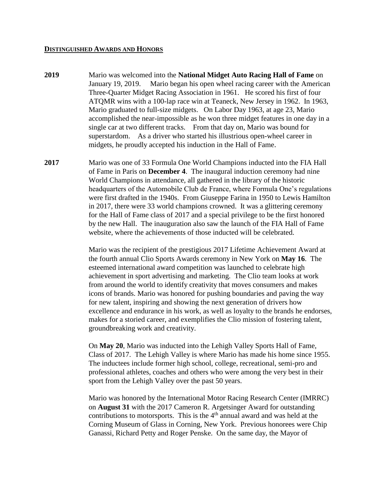## **DISTINGUISHED AWARDS AND HONORS**

- **2019** Mario was welcomed into the **National Midget Auto Racing Hall of Fame** on January 19, 2019. Mario began his open wheel racing career with the American Three-Quarter Midget Racing Association in 1961. He scored his first of four ATQMR wins with a 100-lap race win at Teaneck, New Jersey in 1962. In 1963, Mario graduated to full-size midgets. On Labor Day 1963, at age 23, Mario accomplished the near-impossible as he won three midget features in one day in a single car at two different tracks. From that day on, Mario was bound for superstardom. As a driver who started his illustrious open-wheel career in midgets, he proudly accepted his induction in the Hall of Fame.
- **2017** Mario was one of 33 Formula One World Champions inducted into the FIA Hall of Fame in Paris on **December 4**. The inaugural induction ceremony had nine World Champions in attendance, all gathered in the library of the historic headquarters of the Automobile Club de France, where Formula One's regulations were first drafted in the 1940s. From Giuseppe Farina in 1950 to Lewis Hamilton in 2017, there were 33 world champions crowned. It was a glittering ceremony for the Hall of Fame class of 2017 and a special privilege to be the first honored by the new Hall. The inauguration also saw the launch of the FIA Hall of Fame website, where the achievements of those inducted will be celebrated.

Mario was the recipient of the prestigious 2017 Lifetime Achievement Award at the fourth annual Clio Sports Awards ceremony in New York on **May 16**. The esteemed international award competition was launched to celebrate high achievement in sport advertising and marketing. The Clio team looks at work from around the world to identify creativity that moves consumers and makes icons of brands. Mario was honored for pushing boundaries and paving the way for new talent, inspiring and showing the next generation of drivers how excellence and endurance in his work, as well as loyalty to the brands he endorses, makes for a storied career, and exemplifies the Clio mission of fostering talent, groundbreaking work and creativity.

On **May 20**, Mario was inducted into the Lehigh Valley Sports Hall of Fame, Class of 2017. The Lehigh Valley is where Mario has made his home since 1955. The inductees include former high school, college, recreational, semi-pro and professional athletes, coaches and others who were among the very best in their sport from the Lehigh Valley over the past 50 years.

Mario was honored by the International Motor Racing Research Center (IMRRC) on **August 31** with the 2017 Cameron R. Argetsinger Award for outstanding contributions to motorsports. This is the  $4<sup>th</sup>$  annual award and was held at the Corning Museum of Glass in Corning, New York. Previous honorees were Chip Ganassi, Richard Petty and Roger Penske. On the same day, the Mayor of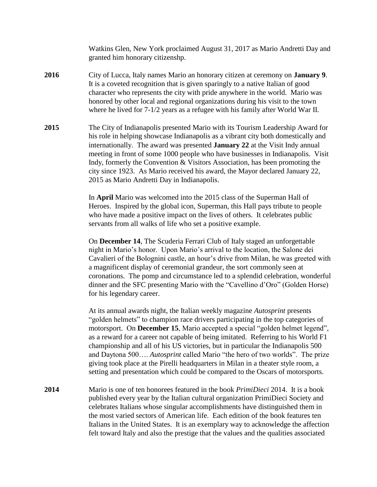Watkins Glen, New York proclaimed August 31, 2017 as Mario Andretti Day and granted him honorary citizenshp.

- **2016** City of Lucca, Italy names Mario an honorary citizen at ceremony on **January 9**. It is a coveted recognition that is given sparingly to a native Italian of good character who represents the city with pride anywhere in the world. Mario was honored by other local and regional organizations during his visit to the town where he lived for 7-1/2 years as a refugee with his family after World War II.
- **2015** The City of Indianapolis presented Mario with its Tourism Leadership Award for his role in helping showcase Indianapolis as a vibrant city both domestically and internationally. The award was presented **January 22** at the Visit Indy annual meeting in front of some 1000 people who have businesses in Indianapolis. Visit Indy, formerly the Convention & Visitors Association, has been promoting the city since 1923. As Mario received his award, the Mayor declared January 22, 2015 as Mario Andretti Day in Indianapolis.

In **April** Mario was welcomed into the 2015 class of the Superman Hall of Heroes. Inspired by the global icon, Superman, this Hall pays tribute to people who have made a positive impact on the lives of others. It celebrates public servants from all walks of life who set a positive example.

On **December 14**, The Scuderia Ferrari Club of Italy staged an unforgettable night in Mario's honor. Upon Mario's arrival to the location, the Salone dei Cavalieri of the Bolognini castle, an hour's drive from Milan, he was greeted with a magnificent display of ceremonial grandeur, the sort commonly seen at coronations. The pomp and circumstance led to a splendid celebration, wonderful dinner and the SFC presenting Mario with the "Cavellino d'Oro" (Golden Horse) for his legendary career.

At its annual awards night, the Italian weekly magazine *Autosprint* presents "golden helmets" to champion race drivers participating in the top categories of motorsport. On **December 15**, Mario accepted a special "golden helmet legend", as a reward for a career not capable of being imitated. Referring to his World F1 championship and all of his US victories, but in particular the Indianapolis 500 and Daytona 500…. *Autosprint* called Mario "the hero of two worlds". The prize giving took place at the Pirelli headquarters in Milan in a theater style room, a setting and presentation which could be compared to the Oscars of motorsports.

**2014** Mario is one of ten honorees featured in the book *PrimiDieci* 2014. It is a book published every year by the Italian cultural organization PrimiDieci Society and celebrates Italians whose singular accomplishments have distinguished them in the most varied sectors of American life. Each edition of the book features ten Italians in the United States. It is an exemplary way to acknowledge the affection felt toward Italy and also the prestige that the values and the qualities associated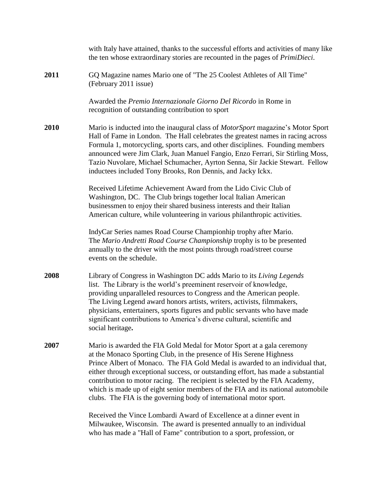|      | with Italy have attained, thanks to the successful efforts and activities of many like<br>the ten whose extraordinary stories are recounted in the pages of <i>PrimiDieci</i> .                                                                                                                                                                                                                                                                                                                                                                             |
|------|-------------------------------------------------------------------------------------------------------------------------------------------------------------------------------------------------------------------------------------------------------------------------------------------------------------------------------------------------------------------------------------------------------------------------------------------------------------------------------------------------------------------------------------------------------------|
| 2011 | GQ Magazine names Mario one of "The 25 Coolest Athletes of All Time"<br>(February 2011 issue)                                                                                                                                                                                                                                                                                                                                                                                                                                                               |
|      | Awarded the Premio Internazionale Giorno Del Ricordo in Rome in<br>recognition of outstanding contribution to sport                                                                                                                                                                                                                                                                                                                                                                                                                                         |
| 2010 | Mario is inducted into the inaugural class of <i>MotorSport</i> magazine's Motor Sport<br>Hall of Fame in London. The Hall celebrates the greatest names in racing across<br>Formula 1, motorcycling, sports cars, and other disciplines. Founding members<br>announced were Jim Clark, Juan Manuel Fangio, Enzo Ferrari, Sir Stirling Moss,<br>Tazio Nuvolare, Michael Schumacher, Ayrton Senna, Sir Jackie Stewart. Fellow<br>inductees included Tony Brooks, Ron Dennis, and Jacky Ickx.                                                                 |
|      | Received Lifetime Achievement Award from the Lido Civic Club of<br>Washington, DC. The Club brings together local Italian American<br>businessmen to enjoy their shared business interests and their Italian<br>American culture, while volunteering in various philanthropic activities.                                                                                                                                                                                                                                                                   |
|      | IndyCar Series names Road Course Championhip trophy after Mario.<br>The Mario Andretti Road Course Championship trophy is to be presented<br>annually to the driver with the most points through road/street course<br>events on the schedule.                                                                                                                                                                                                                                                                                                              |
| 2008 | Library of Congress in Washington DC adds Mario to its Living Legends<br>list. The Library is the world's preeminent reservoir of knowledge,<br>providing unparalleled resources to Congress and the American people.<br>The Living Legend award honors artists, writers, activists, filmmakers,<br>physicians, entertainers, sports figures and public servants who have made<br>significant contributions to America's diverse cultural, scientific and<br>social heritage.                                                                               |
| 2007 | Mario is awarded the FIA Gold Medal for Motor Sport at a gala ceremony<br>at the Monaco Sporting Club, in the presence of His Serene Highness<br>Prince Albert of Monaco. The FIA Gold Medal is awarded to an individual that,<br>either through exceptional success, or outstanding effort, has made a substantial<br>contribution to motor racing. The recipient is selected by the FIA Academy,<br>which is made up of eight senior members of the FIA and its national automobile<br>clubs. The FIA is the governing body of international motor sport. |
|      | Received the Vince Lombardi Award of Excellence at a dinner event in<br>Milwaukee, Wisconsin. The award is presented annually to an individual<br>who has made a "Hall of Fame" contribution to a sport, profession, or                                                                                                                                                                                                                                                                                                                                     |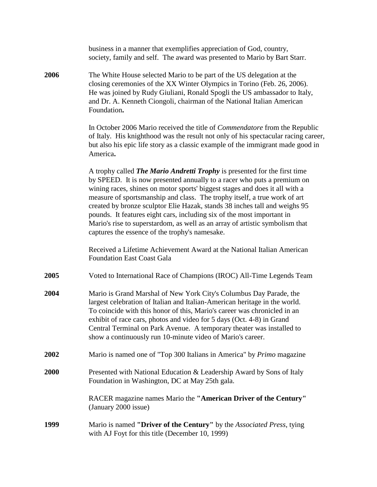|      | business in a manner that exemplifies appreciation of God, country,<br>society, family and self. The award was presented to Mario by Bart Starr.                                                                                                                                                                                                                                                                                                                                                                                                                                                                  |
|------|-------------------------------------------------------------------------------------------------------------------------------------------------------------------------------------------------------------------------------------------------------------------------------------------------------------------------------------------------------------------------------------------------------------------------------------------------------------------------------------------------------------------------------------------------------------------------------------------------------------------|
| 2006 | The White House selected Mario to be part of the US delegation at the<br>closing ceremonies of the XX Winter Olympics in Torino (Feb. 26, 2006).<br>He was joined by Rudy Giuliani, Ronald Spogli the US ambassador to Italy,<br>and Dr. A. Kenneth Ciongoli, chairman of the National Italian American<br>Foundation.                                                                                                                                                                                                                                                                                            |
|      | In October 2006 Mario received the title of <i>Commendatore</i> from the Republic<br>of Italy. His knighthood was the result not only of his spectacular racing career,<br>but also his epic life story as a classic example of the immigrant made good in<br>America.                                                                                                                                                                                                                                                                                                                                            |
|      | A trophy called <i>The Mario Andretti Trophy</i> is presented for the first time<br>by SPEED. It is now presented annually to a racer who puts a premium on<br>wining races, shines on motor sports' biggest stages and does it all with a<br>measure of sportsmanship and class. The trophy itself, a true work of art<br>created by bronze sculptor Elie Hazak, stands 38 inches tall and weighs 95<br>pounds. It features eight cars, including six of the most important in<br>Mario's rise to superstardom, as well as an array of artistic symbolism that<br>captures the essence of the trophy's namesake. |
|      | Received a Lifetime Achievement Award at the National Italian American<br><b>Foundation East Coast Gala</b>                                                                                                                                                                                                                                                                                                                                                                                                                                                                                                       |
| 2005 | Voted to International Race of Champions (IROC) All-Time Legends Team                                                                                                                                                                                                                                                                                                                                                                                                                                                                                                                                             |
| 2004 | Mario is Grand Marshal of New York City's Columbus Day Parade, the<br>largest celebration of Italian and Italian-American heritage in the world.<br>To coincide with this honor of this, Mario's career was chronicled in an<br>exhibit of race cars, photos and video for 5 days (Oct. 4-8) in Grand<br>Central Terminal on Park Avenue. A temporary theater was installed to<br>show a continuously run 10-minute video of Mario's career.                                                                                                                                                                      |
| 2002 | Mario is named one of "Top 300 Italians in America" by <i>Primo</i> magazine                                                                                                                                                                                                                                                                                                                                                                                                                                                                                                                                      |
| 2000 | Presented with National Education & Leadership Award by Sons of Italy<br>Foundation in Washington, DC at May 25th gala.                                                                                                                                                                                                                                                                                                                                                                                                                                                                                           |
|      | RACER magazine names Mario the "American Driver of the Century"<br>(January 2000 issue)                                                                                                                                                                                                                                                                                                                                                                                                                                                                                                                           |
| 1999 | Mario is named "Driver of the Century" by the Associated Press, tying<br>with AJ Foyt for this title (December 10, 1999)                                                                                                                                                                                                                                                                                                                                                                                                                                                                                          |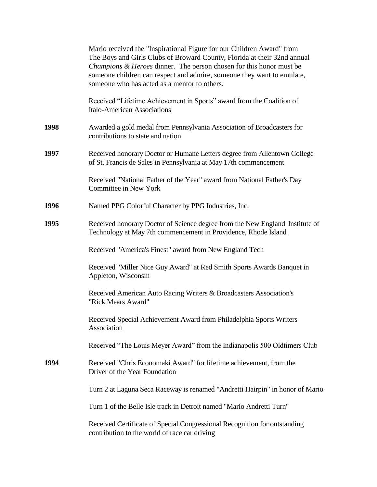|      | Mario received the "Inspirational Figure for our Children Award" from<br>The Boys and Girls Clubs of Broward County, Florida at their 32nd annual<br>Champions & Heroes dinner. The person chosen for this honor must be<br>someone children can respect and admire, someone they want to emulate,<br>someone who has acted as a mentor to others. |
|------|----------------------------------------------------------------------------------------------------------------------------------------------------------------------------------------------------------------------------------------------------------------------------------------------------------------------------------------------------|
|      | Received "Lifetime Achievement in Sports" award from the Coalition of<br><b>Italo-American Associations</b>                                                                                                                                                                                                                                        |
| 1998 | Awarded a gold medal from Pennsylvania Association of Broadcasters for<br>contributions to state and nation                                                                                                                                                                                                                                        |
| 1997 | Received honorary Doctor or Humane Letters degree from Allentown College<br>of St. Francis de Sales in Pennsylvania at May 17th commencement                                                                                                                                                                                                       |
|      | Received "National Father of the Year" award from National Father's Day<br><b>Committee in New York</b>                                                                                                                                                                                                                                            |
| 1996 | Named PPG Colorful Character by PPG Industries, Inc.                                                                                                                                                                                                                                                                                               |
| 1995 | Received honorary Doctor of Science degree from the New England Institute of<br>Technology at May 7th commencement in Providence, Rhode Island                                                                                                                                                                                                     |
|      | Received "America's Finest" award from New England Tech                                                                                                                                                                                                                                                                                            |
|      | Received "Miller Nice Guy Award" at Red Smith Sports Awards Banquet in<br>Appleton, Wisconsin                                                                                                                                                                                                                                                      |
|      | Received American Auto Racing Writers & Broadcasters Association's<br>"Rick Mears Award"                                                                                                                                                                                                                                                           |
|      | Received Special Achievement Award from Philadelphia Sports Writers<br>Association                                                                                                                                                                                                                                                                 |
|      | Received "The Louis Meyer Award" from the Indianapolis 500 Oldtimers Club                                                                                                                                                                                                                                                                          |
| 1994 | Received "Chris Economaki Award" for lifetime achievement, from the<br>Driver of the Year Foundation                                                                                                                                                                                                                                               |
|      | Turn 2 at Laguna Seca Raceway is renamed "Andretti Hairpin" in honor of Mario                                                                                                                                                                                                                                                                      |
|      | Turn 1 of the Belle Isle track in Detroit named "Mario Andretti Turn"                                                                                                                                                                                                                                                                              |
|      | Received Certificate of Special Congressional Recognition for outstanding<br>contribution to the world of race car driving                                                                                                                                                                                                                         |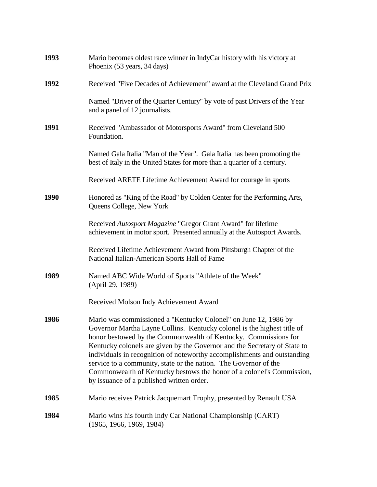| 1993        | Mario becomes oldest race winner in IndyCar history with his victory at<br>Phoenix (53 years, 34 days)                                                                                                                                                                                                                                                                                                                                                                                                                                                           |
|-------------|------------------------------------------------------------------------------------------------------------------------------------------------------------------------------------------------------------------------------------------------------------------------------------------------------------------------------------------------------------------------------------------------------------------------------------------------------------------------------------------------------------------------------------------------------------------|
| 1992        | Received "Five Decades of Achievement" award at the Cleveland Grand Prix                                                                                                                                                                                                                                                                                                                                                                                                                                                                                         |
|             | Named "Driver of the Quarter Century" by vote of past Drivers of the Year<br>and a panel of 12 journalists.                                                                                                                                                                                                                                                                                                                                                                                                                                                      |
| 1991        | Received "Ambassador of Motorsports Award" from Cleveland 500<br>Foundation.                                                                                                                                                                                                                                                                                                                                                                                                                                                                                     |
|             | Named Gala Italia "Man of the Year". Gala Italia has been promoting the<br>best of Italy in the United States for more than a quarter of a century.                                                                                                                                                                                                                                                                                                                                                                                                              |
|             | Received ARETE Lifetime Achievement Award for courage in sports                                                                                                                                                                                                                                                                                                                                                                                                                                                                                                  |
| <b>1990</b> | Honored as "King of the Road" by Colden Center for the Performing Arts,<br>Queens College, New York                                                                                                                                                                                                                                                                                                                                                                                                                                                              |
|             | Received Autosport Magazine "Gregor Grant Award" for lifetime<br>achievement in motor sport. Presented annually at the Autosport Awards.                                                                                                                                                                                                                                                                                                                                                                                                                         |
|             | Received Lifetime Achievement Award from Pittsburgh Chapter of the<br>National Italian-American Sports Hall of Fame                                                                                                                                                                                                                                                                                                                                                                                                                                              |
| 1989        | Named ABC Wide World of Sports "Athlete of the Week"<br>(April 29, 1989)                                                                                                                                                                                                                                                                                                                                                                                                                                                                                         |
|             | Received Molson Indy Achievement Award                                                                                                                                                                                                                                                                                                                                                                                                                                                                                                                           |
| 1986        | Mario was commissioned a "Kentucky Colonel" on June 12, 1986 by<br>Governor Martha Layne Collins. Kentucky colonel is the highest title of<br>honor bestowed by the Commonwealth of Kentucky. Commissions for<br>Kentucky colonels are given by the Governor and the Secretary of State to<br>individuals in recognition of noteworthy accomplishments and outstanding<br>service to a community, state or the nation. The Governor of the<br>Commonwealth of Kentucky bestows the honor of a colonel's Commission,<br>by issuance of a published written order. |
| 1985        | Mario receives Patrick Jacquemart Trophy, presented by Renault USA                                                                                                                                                                                                                                                                                                                                                                                                                                                                                               |
| 1984        | Mario wins his fourth Indy Car National Championship (CART)<br>(1965, 1966, 1969, 1984)                                                                                                                                                                                                                                                                                                                                                                                                                                                                          |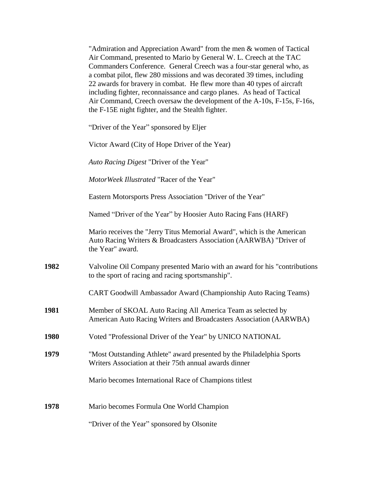| "Admiration and Appreciation Award" from the men & women of Tactical    |  |  |
|-------------------------------------------------------------------------|--|--|
| Air Command, presented to Mario by General W. L. Creech at the TAC      |  |  |
| Commanders Conference. General Creech was a four-star general who, as   |  |  |
| a combat pilot, flew 280 missions and was decorated 39 times, including |  |  |
| 22 awards for bravery in combat. He flew more than 40 types of aircraft |  |  |
| including fighter, reconnaissance and cargo planes. As head of Tactical |  |  |
| Air Command, Creech oversaw the development of the A-10s, F-15s, F-16s, |  |  |
| the F-15E night fighter, and the Stealth fighter.                       |  |  |

"Driver of the Year" sponsored by Eljer

Victor Award (City of Hope Driver of the Year)

*Auto Racing Digest* "Driver of the Year"

*MotorWeek Illustrated* "Racer of the Year"

Eastern Motorsports Press Association "Driver of the Year"

Named "Driver of the Year" by Hoosier Auto Racing Fans (HARF)

Mario receives the "Jerry Titus Memorial Award", which is the American Auto Racing Writers & Broadcasters Association (AARWBA) "Driver of the Year" award.

**1982** Valvoline Oil Company presented Mario with an award for his "contributions to the sport of racing and racing sportsmanship".

CART Goodwill Ambassador Award (Championship Auto Racing Teams)

- **1981** Member of SKOAL Auto Racing All America Team as selected by American Auto Racing Writers and Broadcasters Association (AARWBA)
- **1980** Voted "Professional Driver of the Year" by UNICO NATIONAL
- **1979** "Most Outstanding Athlete" award presented by the Philadelphia Sports Writers Association at their 75th annual awards dinner

Mario becomes International Race of Champions titlest

**1978** Mario becomes Formula One World Champion

"Driver of the Year" sponsored by Olsonite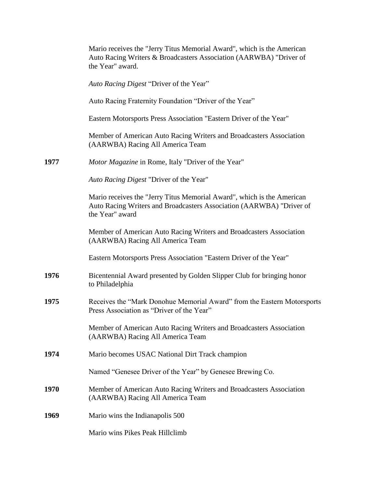|      | Mario receives the "Jerry Titus Memorial Award", which is the American<br>Auto Racing Writers & Broadcasters Association (AARWBA) "Driver of<br>the Year" award.  |
|------|-------------------------------------------------------------------------------------------------------------------------------------------------------------------|
|      | Auto Racing Digest "Driver of the Year"                                                                                                                           |
|      | Auto Racing Fraternity Foundation "Driver of the Year"                                                                                                            |
|      | Eastern Motorsports Press Association "Eastern Driver of the Year"                                                                                                |
|      | Member of American Auto Racing Writers and Broadcasters Association<br>(AARWBA) Racing All America Team                                                           |
| 1977 | Motor Magazine in Rome, Italy "Driver of the Year"                                                                                                                |
|      | Auto Racing Digest "Driver of the Year"                                                                                                                           |
|      | Mario receives the "Jerry Titus Memorial Award", which is the American<br>Auto Racing Writers and Broadcasters Association (AARWBA) "Driver of<br>the Year" award |
|      | Member of American Auto Racing Writers and Broadcasters Association<br>(AARWBA) Racing All America Team                                                           |
|      | Eastern Motorsports Press Association "Eastern Driver of the Year"                                                                                                |
| 1976 | Bicentennial Award presented by Golden Slipper Club for bringing honor<br>to Philadelphia                                                                         |
| 1975 | Receives the "Mark Donohue Memorial Award" from the Eastern Motorsports<br>Press Association as "Driver of the Year"                                              |
|      | Member of American Auto Racing Writers and Broadcasters Association<br>(AARWBA) Racing All America Team                                                           |
| 1974 | Mario becomes USAC National Dirt Track champion                                                                                                                   |
|      | Named "Genesee Driver of the Year" by Genesee Brewing Co.                                                                                                         |
| 1970 | Member of American Auto Racing Writers and Broadcasters Association<br>(AARWBA) Racing All America Team                                                           |
| 1969 | Mario wins the Indianapolis 500                                                                                                                                   |
|      | Mario wins Pikes Peak Hillclimb                                                                                                                                   |